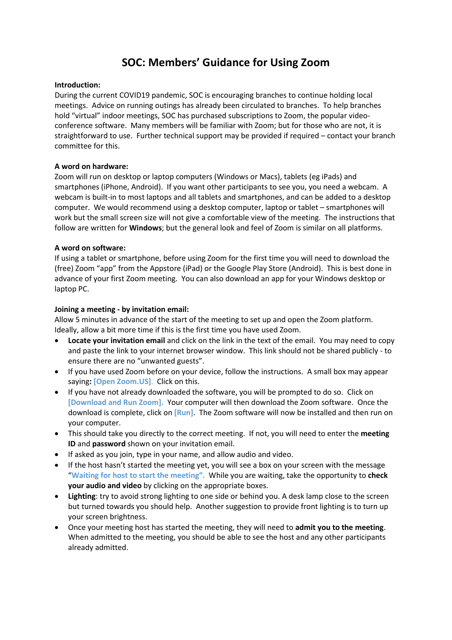# **SOC: Members' Guidance for Using Zoom**

### **Introduction:**

During the current COVID19 pandemic, SOC is encouraging branches to continue holding local meetings. Advice on running outings has already been circulated to branches. To help branches hold "virtual" indoor meetings, SOC has purchased subscriptions to Zoom, the popular videoconference software. Many members will be familiar with Zoom; but for those who are not, it is straightforward to use. Further technical support may be provided if required – contact your branch committee for this.

# **A word on hardware:**

Zoom will run on desktop or laptop computers (Windows or Macs), tablets (eg iPads) and smartphones (iPhone, Android). If you want other participants to see you, you need a webcam. A webcam is built-in to most laptops and all tablets and smartphones, and can be added to a desktop computer. We would recommend using a desktop computer, laptop or tablet – smartphones will work but the small screen size will not give a comfortable view of the meeting. The instructions that follow are written for **Windows**; but the general look and feel of Zoom is similar on all platforms.

# **A word on software:**

If using a tablet or smartphone, before using Zoom for the first time you will need to download the (free) Zoom "app" from the Appstore (iPad) or the Google Play Store (Android). This is best done in advance of your first Zoom meeting. You can also download an app for your Windows desktop or laptop PC.

# **Joining a meeting - by invitation email:**

Allow 5 minutes in advance of the start of the meeting to set up and open the Zoom platform. Ideally, allow a bit more time if this is the first time you have used Zoom.

- **Locate your invitation email** and click on the link in the text of the email. You may need to copy and paste the link to your internet browser window. This link should not be shared publicly - to ensure there are no "unwanted guests".
- If you have used Zoom before on your device, follow the instructions. A small box may appear saying**: [Open Zoom.US]**. Click on this.
- If you have not already downloaded the software, you will be prompted to do so. Click on **[Download and Run Zoom].** Your computer will then download the Zoom software. Once the download is complete, click on **[Run]**. The Zoom software will now be installed and then run on your computer.
- This should take you directly to the correct meeting. If not, you will need to enter the **meeting ID** and **password** shown on your invitation email.
- If asked as you join, type in your name, and allow audio and video.
- If the host hasn't started the meeting yet, you will see a box on your screen with the message "**Waiting for host to start the meeting".** While you are waiting, take the opportunity to **check your audio and video** by clicking on the appropriate boxes.
- **Lighting**: try to avoid strong lighting to one side or behind you. A desk lamp close to the screen but turned towards you should help. Another suggestion to provide front lighting is to turn up your screen brightness.
- Once your meeting host has started the meeting, they will need to **admit you to the meeting**. When admitted to the meeting, you should be able to see the host and any other participants already admitted.